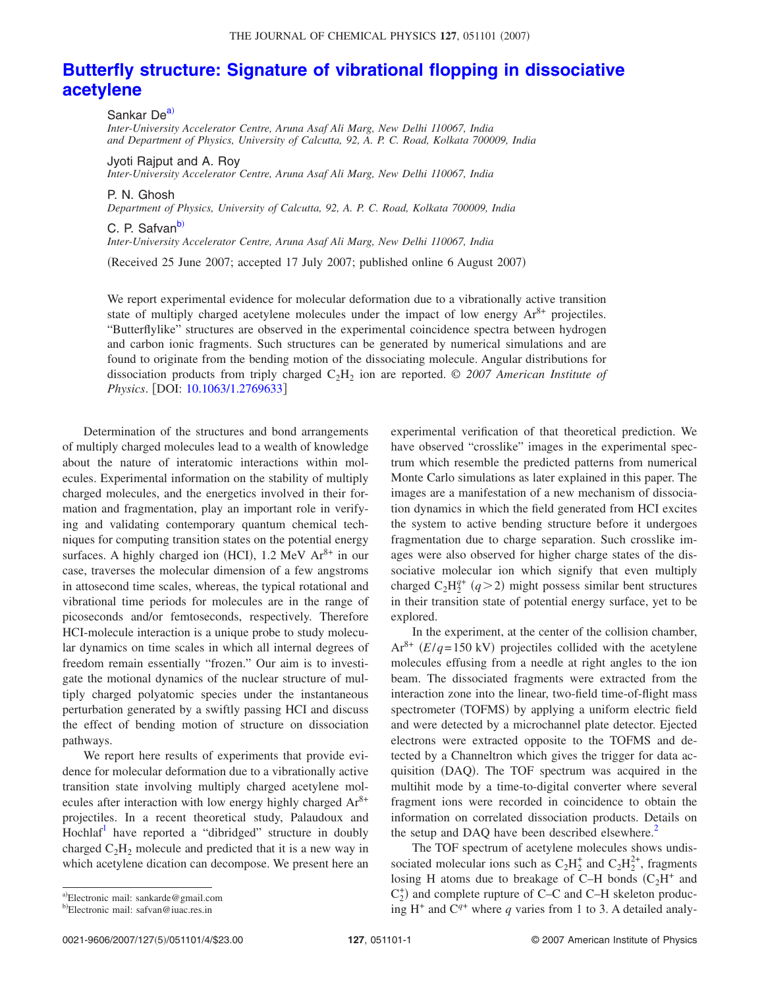## THE JOURNAL OF CHEMICAL PHYSICS 127, 051101 (2007)

## **Butterfly structure: Signature of vibrational flopping in dissociative acetylene**

Sankar De<sup>a)</sup>

*Inter-University Accelerator Centre, Aruna Asaf Ali Marg, New Delhi 110067, India and Department of Physics, University of Calcutta, 92, A. P. C. Road, Kolkata 700009, India*

Jyoti Rajput and A. Roy *Inter-University Accelerator Centre, Aruna Asaf Ali Marg, New Delhi 110067, India*

P. N. Ghosh

*Department of Physics, University of Calcutta, 92, A. P. C. Road, Kolkata 700009, India*

C. P. Safvan<sup>b)</sup>

*Inter-University Accelerator Centre, Aruna Asaf Ali Marg, New Delhi 110067, India*

Received 25 June 2007; accepted 17 July 2007; published online 6 August 2007-

We report experimental evidence for molecular deformation due to a vibrationally active transition state of multiply charged acetylene molecules under the impact of low energy  $Ar^{8+}$  projectiles. "Butterflylike" structures are observed in the experimental coincidence spectra between hydrogen and carbon ionic fragments. Such structures can be generated by numerical simulations and are found to originate from the bending motion of the dissociating molecule. Angular distributions for dissociation products from triply charged  $C_2H_2$  ion are reported.  $\odot$  2007 American Institute of *Physics*. [DOI: 10.1063/1.2769633]

Determination of the structures and bond arrangements of multiply charged molecules lead to a wealth of knowledge about the nature of interatomic interactions within molecules. Experimental information on the stability of multiply charged molecules, and the energetics involved in their formation and fragmentation, play an important role in verifying and validating contemporary quantum chemical techniques for computing transition states on the potential energy surfaces. A highly charged ion (HCI),  $1.2 \text{ MeV}$  Ar<sup>8+</sup> in our case, traverses the molecular dimension of a few angstroms in attosecond time scales, whereas, the typical rotational and vibrational time periods for molecules are in the range of picoseconds and/or femtoseconds, respectively. Therefore HCI-molecule interaction is a unique probe to study molecular dynamics on time scales in which all internal degrees of freedom remain essentially "frozen." Our aim is to investigate the motional dynamics of the nuclear structure of multiply charged polyatomic species under the instantaneous perturbation generated by a swiftly passing HCI and discuss the effect of bending motion of structure on dissociation pathways.

We report here results of experiments that provide evidence for molecular deformation due to a vibrationally active transition state involving multiply charged acetylene molecules after interaction with low energy highly charged Ar8+ projectiles. In a recent theoretical study, Palaudoux and Hochlaf<sup>1</sup> have reported a "dibridged" structure in doubly charged  $C_2H_2$  molecule and predicted that it is a new way in which acetylene dication can decompose. We present here an

experimental verification of that theoretical prediction. We have observed "crosslike" images in the experimental spectrum which resemble the predicted patterns from numerical Monte Carlo simulations as later explained in this paper. The images are a manifestation of a new mechanism of dissociation dynamics in which the field generated from HCI excites the system to active bending structure before it undergoes fragmentation due to charge separation. Such crosslike images were also observed for higher charge states of the dissociative molecular ion which signify that even multiply charged  $C_2H_2^{q+}(q>2)$  might possess similar bent structures in their transition state of potential energy surface, yet to be explored.

In the experiment, at the center of the collision chamber,  $Ar^{8+}$  ( $E/q = 150$  kV) projectiles collided with the acetylene molecules effusing from a needle at right angles to the ion beam. The dissociated fragments were extracted from the interaction zone into the linear, two-field time-of-flight mass spectrometer (TOFMS) by applying a uniform electric field and were detected by a microchannel plate detector. Ejected electrons were extracted opposite to the TOFMS and detected by a Channeltron which gives the trigger for data acquisition (DAQ). The TOF spectrum was acquired in the multihit mode by a time-to-digital converter where several fragment ions were recorded in coincidence to obtain the information on correlated dissociation products. Details on the setup and DAQ have been described elsewhere. $\frac{2}{x}$ 

The TOF spectrum of acetylene molecules shows undissociated molecular ions such as  $C_2H_2^+$  and  $C_2H_2^{2+}$ , fragments losing H atoms due to breakage of C-H bonds  $(C_2H^+$  and  $C_2^+$ ) and complete rupture of C–C and C–H skeleton producing  $H^+$  and  $C^{q+}$  where  $q$  varies from 1 to 3. A detailed analy-

a)Electronic mail: sankarde@gmail.com <sup>b)</sup>Electronic mail: safvan@iuac.res.in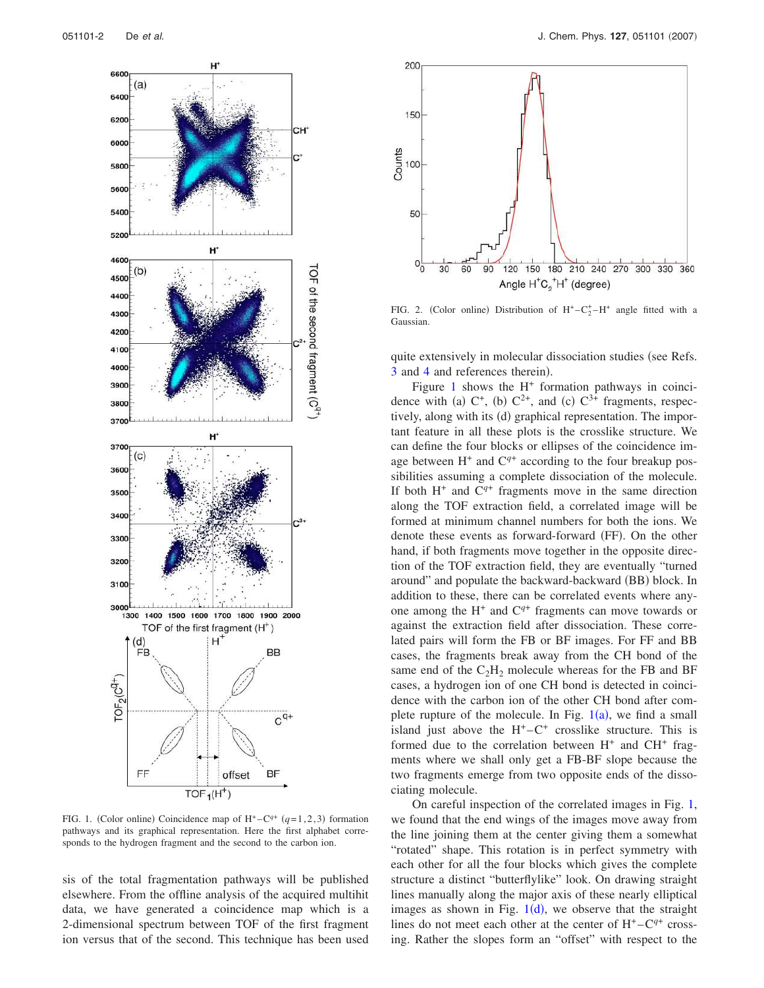

FIG. 1. (Color online) Coincidence map of  $H^+$ -C<sup>q+</sup> (q=1,2,3) formation pathways and its graphical representation. Here the first alphabet corresponds to the hydrogen fragment and the second to the carbon ion.

sis of the total fragmentation pathways will be published elsewhere. From the offline analysis of the acquired multihit data, we have generated a coincidence map which is a 2-dimensional spectrum between TOF of the first fragment ion versus that of the second. This technique has been used



FIG. 2. (Color online) Distribution of  $H^+ - C_2^+ - H^+$  angle fitted with a **Gaussian** 

quite extensively in molecular dissociation studies (see Refs. 3 and 4 and references therein).

Figure  $1$  shows the  $H^+$  formation pathways in coincidence with (a)  $C^+$ , (b)  $C^{2+}$ , and (c)  $C^{3+}$  fragments, respectively, along with its (d) graphical representation. The important feature in all these plots is the crosslike structure. We can define the four blocks or ellipses of the coincidence image between  $H^+$  and  $C^{q+}$  according to the four breakup possibilities assuming a complete dissociation of the molecule. If both  $H^+$  and  $C^{q+}$  fragments move in the same direction along the TOF extraction field, a correlated image will be formed at minimum channel numbers for both the ions. We denote these events as forward-forward (FF). On the other hand, if both fragments move together in the opposite direction of the TOF extraction field, they are eventually "turned around" and populate the backward-backward (BB) block. In addition to these, there can be correlated events where anyone among the  $H^+$  and  $C^{q+}$  fragments can move towards or against the extraction field after dissociation. These correlated pairs will form the FB or BF images. For FF and BB cases, the fragments break away from the CH bond of the same end of the  $C_2H_2$  molecule whereas for the FB and BF cases, a hydrogen ion of one CH bond is detected in coincidence with the carbon ion of the other CH bond after complete rupture of the molecule. In Fig.  $1(a)$ , we find a small island just above the  $H^+ - C^+$  crosslike structure. This is formed due to the correlation between  $H^+$  and  $CH^+$  fragments where we shall only get a FB-BF slope because the two fragments emerge from two opposite ends of the dissociating molecule.

On careful inspection of the correlated images in Fig. 1, we found that the end wings of the images move away from the line joining them at the center giving them a somewhat "rotated" shape. This rotation is in perfect symmetry with each other for all the four blocks which gives the complete structure a distinct "butterflylike" look. On drawing straight lines manually along the major axis of these nearly elliptical images as shown in Fig.  $1(d)$ , we observe that the straight lines do not meet each other at the center of  $H^+$ – $C^{q+}$  crossing. Rather the slopes form an "offset" with respect to the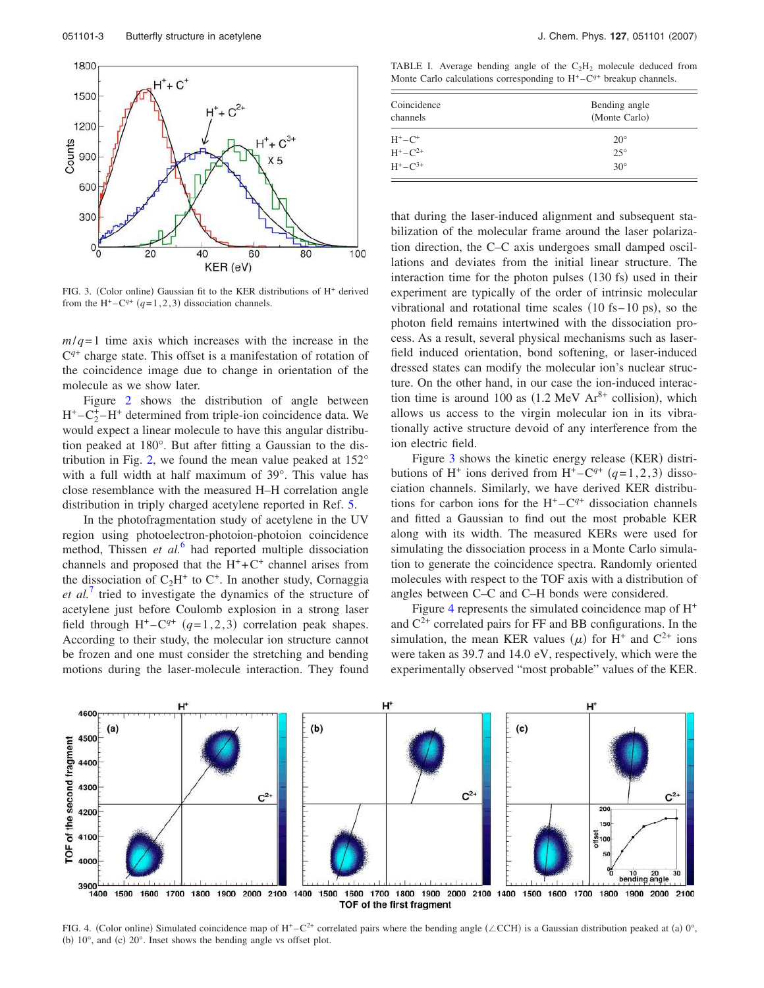

FIG. 3. (Color online) Gaussian fit to the KER distributions of H<sup>+</sup> derived from the H<sup>+</sup> $-C^{q+}$  ( $q=1,2,3$ ) dissociation channels.

 $m/q=1$  time axis which increases with the increase in the C *q*+ charge state. This offset is a manifestation of rotation of the coincidence image due to change in orientation of the molecule as we show later.

Figure 2 shows the distribution of angle between  $H^+ - C_2^+ - H^+$  determined from triple-ion coincidence data. We would expect a linear molecule to have this angular distribution peaked at 180°. But after fitting a Gaussian to the distribution in Fig. 2, we found the mean value peaked at 152° with a full width at half maximum of 39°. This value has close resemblance with the measured H–H correlation angle distribution in triply charged acetylene reported in Ref. 5.

In the photofragmentation study of acetylene in the UV region using photoelectron-photoion-photoion coincidence method, Thissen *et al.*<sup>6</sup> had reported multiple dissociation channels and proposed that the  $H^+ + C^+$  channel arises from the dissociation of  $C_2H^+$  to  $C^+$ . In another study, Cornaggia *et al.*<sup>7</sup> tried to investigate the dynamics of the structure of acetylene just before Coulomb explosion in a strong laser field through  $H^+$ - $C^{q+}$  ( $q=1,2,3$ ) correlation peak shapes. According to their study, the molecular ion structure cannot be frozen and one must consider the stretching and bending motions during the laser-molecule interaction. They found

TABLE I. Average bending angle of the  $C_2H_2$  molecule deduced from Monte Carlo calculations corresponding to  $H<sup>+</sup> - C<sup>q+</sup>$  breakup channels.

| Coincidence<br>channels | Bending angle<br>(Monte Carlo) |
|-------------------------|--------------------------------|
| $H^+$ – $C^+$           | $20^{\circ}$                   |
| $H^+ - C^{2+}$          | $25^{\circ}$                   |
| $H^+ - C^{3+}$          | $30^\circ$                     |

that during the laser-induced alignment and subsequent stabilization of the molecular frame around the laser polarization direction, the C–C axis undergoes small damped oscillations and deviates from the initial linear structure. The interaction time for the photon pulses (130 fs) used in their experiment are typically of the order of intrinsic molecular vibrational and rotational time scales  $(10 \text{ fs} - 10 \text{ ps})$ , so the photon field remains intertwined with the dissociation process. As a result, several physical mechanisms such as laserfield induced orientation, bond softening, or laser-induced dressed states can modify the molecular ion's nuclear structure. On the other hand, in our case the ion-induced interaction time is around 100 as  $(1.2 \text{ MeV Ar}^{8+}$  collision), which allows us access to the virgin molecular ion in its vibrationally active structure devoid of any interference from the ion electric field.

Figure 3 shows the kinetic energy release (KER) distributions of H<sup>+</sup> ions derived from H<sup>+</sup> $-C^{q+}$  ( $q=1,2,3$ ) dissociation channels. Similarly, we have derived KER distributions for carbon ions for the  $H^+$ – $C^{q+}$  dissociation channels and fitted a Gaussian to find out the most probable KER along with its width. The measured KERs were used for simulating the dissociation process in a Monte Carlo simulation to generate the coincidence spectra. Randomly oriented molecules with respect to the TOF axis with a distribution of angles between C–C and C–H bonds were considered.

Figure 4 represents the simulated coincidence map of  $H^+$ and  $C^{2+}$  correlated pairs for FF and BB configurations. In the simulation, the mean KER values  $(\mu)$  for H<sup>+</sup> and C<sup>2+</sup> ions were taken as 39.7 and 14.0 eV, respectively, which were the experimentally observed "most probable" values of the KER.



FIG. 4. (Color online) Simulated coincidence map of H<sup>+</sup>-C<sup>2+</sup> correlated pairs where the bending angle ( $\angle$ CCH) is a Gaussian distribution peaked at (a) 0°, (b)  $10^{\circ}$ , and (c)  $20^{\circ}$ . Inset shows the bending angle vs offset plot.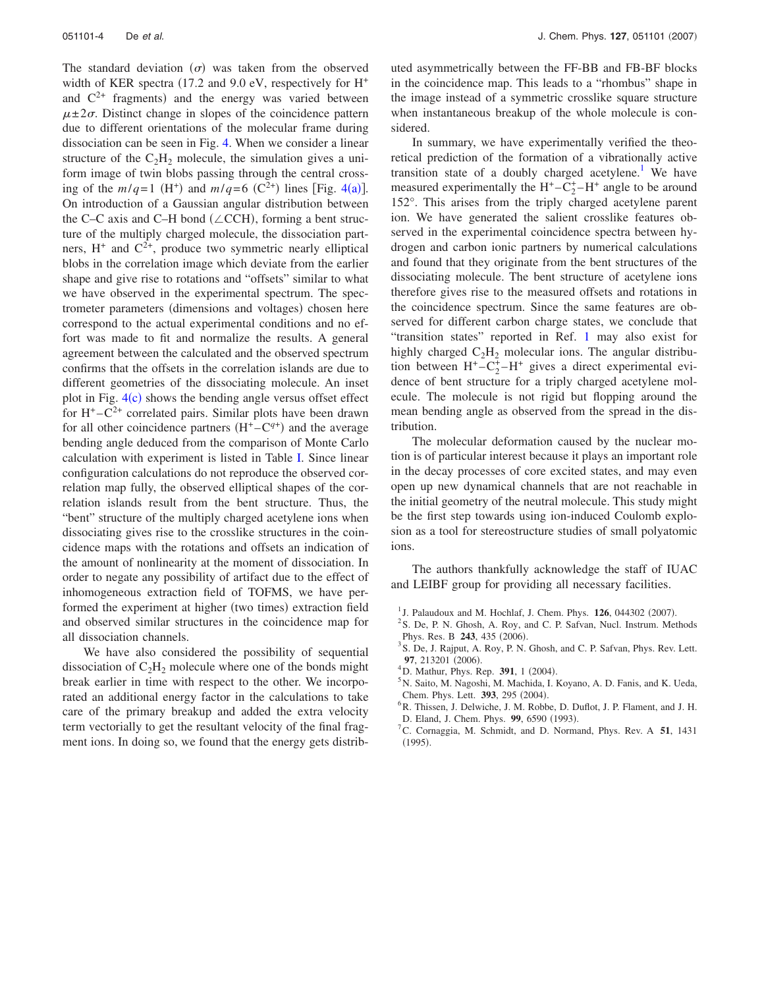The standard deviation  $(\sigma)$  was taken from the observed width of KER spectra (17.2 and 9.0 eV, respectively for  $H^+$ and  $C^{2+}$  fragments) and the energy was varied between  $\mu \pm 2\sigma$ . Distinct change in slopes of the coincidence pattern due to different orientations of the molecular frame during dissociation can be seen in Fig. 4. When we consider a linear structure of the  $C_2H_2$  molecule, the simulation gives a uniform image of twin blobs passing through the central crossing of the  $m/q=1$  (H<sup>+</sup>) and  $m/q=6$  (C<sup>2+</sup>) lines [Fig. 4(a)]. On introduction of a Gaussian angular distribution between the C–C axis and C–H bond ( $\angle$ CCH), forming a bent structure of the multiply charged molecule, the dissociation partners,  $H^+$  and  $C^{2+}$ , produce two symmetric nearly elliptical blobs in the correlation image which deviate from the earlier shape and give rise to rotations and "offsets" similar to what we have observed in the experimental spectrum. The spectrometer parameters (dimensions and voltages) chosen here correspond to the actual experimental conditions and no effort was made to fit and normalize the results. A general agreement between the calculated and the observed spectrum confirms that the offsets in the correlation islands are due to different geometries of the dissociating molecule. An inset plot in Fig.  $4(c)$  shows the bending angle versus offset effect for  $H^+ - C^{2+}$  correlated pairs. Similar plots have been drawn for all other coincidence partners  $(H<sup>+</sup> – C<sup>q+</sup>)$  and the average bending angle deduced from the comparison of Monte Carlo calculation with experiment is listed in Table I. Since linear configuration calculations do not reproduce the observed correlation map fully, the observed elliptical shapes of the correlation islands result from the bent structure. Thus, the "bent" structure of the multiply charged acetylene ions when dissociating gives rise to the crosslike structures in the coincidence maps with the rotations and offsets an indication of the amount of nonlinearity at the moment of dissociation. In order to negate any possibility of artifact due to the effect of inhomogeneous extraction field of TOFMS, we have performed the experiment at higher (two times) extraction field and observed similar structures in the coincidence map for all dissociation channels.

We have also considered the possibility of sequential dissociation of  $C_2H_2$  molecule where one of the bonds might break earlier in time with respect to the other. We incorporated an additional energy factor in the calculations to take care of the primary breakup and added the extra velocity term vectorially to get the resultant velocity of the final fragment ions. In doing so, we found that the energy gets distributed asymmetrically between the FF-BB and FB-BF blocks in the coincidence map. This leads to a "rhombus" shape in the image instead of a symmetric crosslike square structure when instantaneous breakup of the whole molecule is considered.

In summary, we have experimentally verified the theoretical prediction of the formation of a vibrationally active transition state of a doubly charged acetylene.<sup>1</sup> We have measured experimentally the  $H^+ - C_2^+ - H^+$  angle to be around 152°. This arises from the triply charged acetylene parent ion. We have generated the salient crosslike features observed in the experimental coincidence spectra between hydrogen and carbon ionic partners by numerical calculations and found that they originate from the bent structures of the dissociating molecule. The bent structure of acetylene ions therefore gives rise to the measured offsets and rotations in the coincidence spectrum. Since the same features are observed for different carbon charge states, we conclude that "transition states" reported in Ref. 1 may also exist for highly charged  $C_2H_2$  molecular ions. The angular distribution between  $H^+ - C_2^+ - H^+$  gives a direct experimental evidence of bent structure for a triply charged acetylene molecule. The molecule is not rigid but flopping around the mean bending angle as observed from the spread in the distribution.

The molecular deformation caused by the nuclear motion is of particular interest because it plays an important role in the decay processes of core excited states, and may even open up new dynamical channels that are not reachable in the initial geometry of the neutral molecule. This study might be the first step towards using ion-induced Coulomb explosion as a tool for stereostructure studies of small polyatomic ions.

The authors thankfully acknowledge the staff of IUAC and LEIBF group for providing all necessary facilities.

- <sup>1</sup> J. Palaudoux and M. Hochlaf, J. Chem. Phys.  $126$ , 044302 (2007).
- <sup>2</sup> S. De, P. N. Ghosh, A. Roy, and C. P. Safvan, Nucl. Instrum. Methods Phys. Res. B 243, 435 (2006).
- <sup>3</sup> S. De, J. Rajput, A. Roy, P. N. Ghosh, and C. P. Safvan, Phys. Rev. Lett. 97, 213201 (2006).
- <sup>4</sup>D. Mathur, Phys. Rep. **391**, 1 (2004).
- <sup>5</sup>N. Saito, M. Nagoshi, M. Machida, I. Koyano, A. D. Fanis, and K. Ueda, Chem. Phys. Lett. 393, 295 (2004).
- <sup>6</sup>R. Thissen, J. Delwiche, J. M. Robbe, D. Duflot, J. P. Flament, and J. H. D. Eland, J. Chem. Phys. 99, 6590 (1993).
- <sup>7</sup>C. Cornaggia, M. Schmidt, and D. Normand, Phys. Rev. A **51**, 1431  $(1995).$